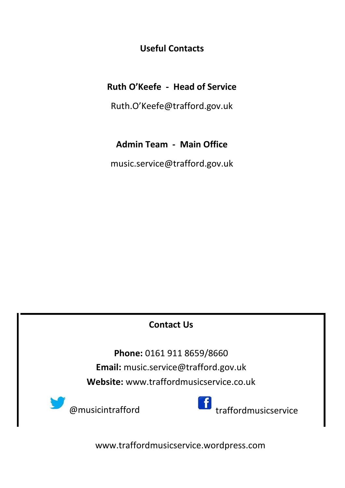**Useful Contacts**

#### **Ruth O'Keefe - Head of Service**

Ruth.O'Keefe@trafford.gov.uk

#### **Admin Team - Main Office**

music.service@trafford.gov.uk

#### **Contact Us**

**Phone:** 0161 911 8659/8660 **Email:** music.service@trafford.gov.uk **Website:** www.traffordmusicservice.co.uk



www.traffordmusicservice.wordpress.com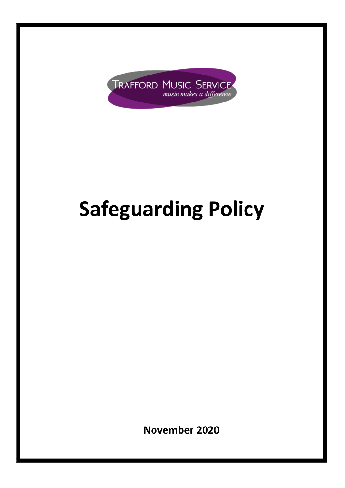

# **Safeguarding Policy**

**November 2020**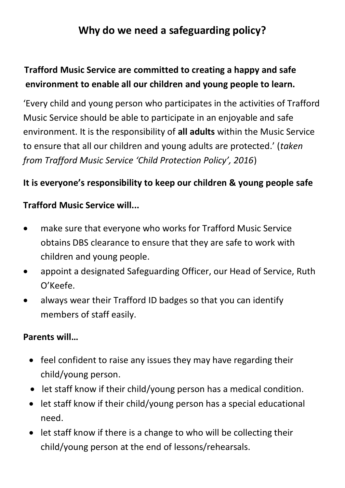# **Why do we need a safeguarding policy?**

## **Trafford Music Service are committed to creating a happy and safe environment to enable all our children and young people to learn.**

'Every child and young person who participates in the activities of Trafford Music Service should be able to participate in an enjoyable and safe environment. It is the responsibility of **all adults** within the Music Service to ensure that all our children and young adults are protected.' (*taken from Trafford Music Service 'Child Protection Policy', 2016*)

#### **It is everyone's responsibility to keep our children & young people safe**

#### **Trafford Music Service will...**

- make sure that everyone who works for Trafford Music Service obtains DBS clearance to ensure that they are safe to work with children and young people.
- appoint a designated Safeguarding Officer, our Head of Service, Ruth O'Keefe.
- always wear their Trafford ID badges so that you can identify members of staff easily.

#### **Parents will…**

- feel confident to raise any issues they may have regarding their child/young person.
- let staff know if their child/young person has a medical condition.
- let staff know if their child/young person has a special educational need.
- let staff know if there is a change to who will be collecting their child/young person at the end of lessons/rehearsals.